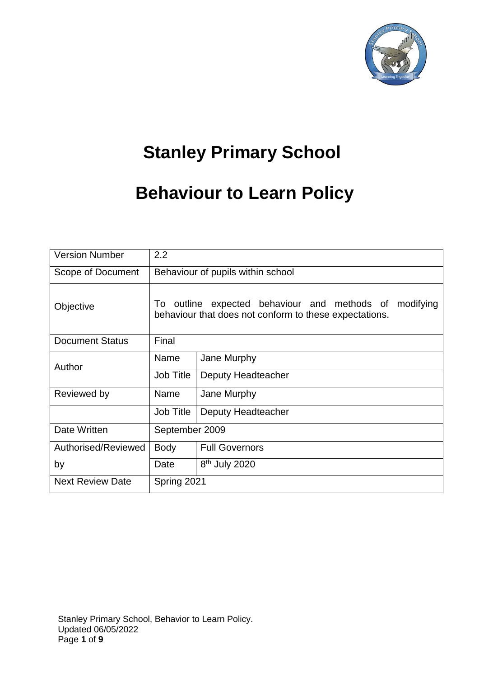

# **Stanley Primary School**

## **Behaviour to Learn Policy**

| <b>Version Number</b>   | 2.2                                                                                                                 |                           |  |  |  |  |
|-------------------------|---------------------------------------------------------------------------------------------------------------------|---------------------------|--|--|--|--|
| Scope of Document       | Behaviour of pupils within school                                                                                   |                           |  |  |  |  |
| Objective               | outline expected behaviour and methods of modifying<br>To<br>behaviour that does not conform to these expectations. |                           |  |  |  |  |
| <b>Document Status</b>  | Final                                                                                                               |                           |  |  |  |  |
| Author                  | Name                                                                                                                | Jane Murphy               |  |  |  |  |
|                         | Job Title                                                                                                           | Deputy Headteacher        |  |  |  |  |
| Reviewed by             | Name                                                                                                                | Jane Murphy               |  |  |  |  |
|                         | <b>Job Title</b>                                                                                                    | Deputy Headteacher        |  |  |  |  |
| Date Written            | September 2009                                                                                                      |                           |  |  |  |  |
| Authorised/Reviewed     | <b>Body</b>                                                                                                         | <b>Full Governors</b>     |  |  |  |  |
| by                      | Date                                                                                                                | 8 <sup>th</sup> July 2020 |  |  |  |  |
| <b>Next Review Date</b> | Spring 2021                                                                                                         |                           |  |  |  |  |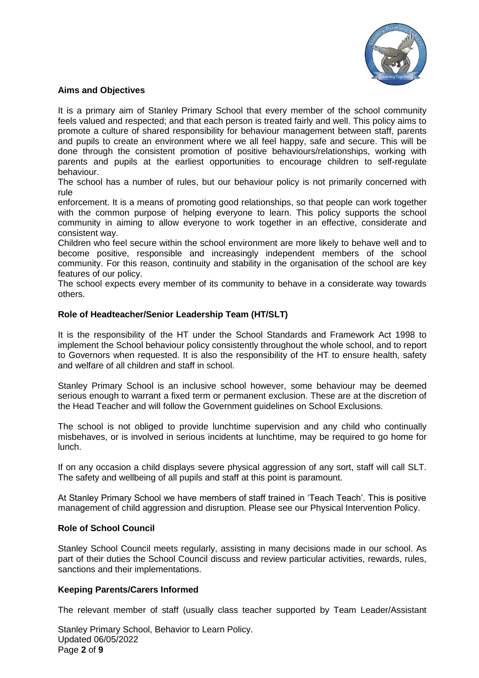

## **Aims and Objectives**

It is a primary aim of Stanley Primary School that every member of the school community feels valued and respected; and that each person is treated fairly and well. This policy aims to promote a culture of shared responsibility for behaviour management between staff, parents and pupils to create an environment where we all feel happy, safe and secure. This will be done through the consistent promotion of positive behaviours/relationships, working with parents and pupils at the earliest opportunities to encourage children to self-regulate behaviour.

The school has a number of rules, but our behaviour policy is not primarily concerned with rule

enforcement. It is a means of promoting good relationships, so that people can work together with the common purpose of helping everyone to learn. This policy supports the school community in aiming to allow everyone to work together in an effective, considerate and consistent way.

Children who feel secure within the school environment are more likely to behave well and to become positive, responsible and increasingly independent members of the school community. For this reason, continuity and stability in the organisation of the school are key features of our policy.

The school expects every member of its community to behave in a considerate way towards others.

## **Role of Headteacher/Senior Leadership Team (HT/SLT)**

It is the responsibility of the HT under the School Standards and Framework Act 1998 to implement the School behaviour policy consistently throughout the whole school, and to report to Governors when requested. It is also the responsibility of the HT to ensure health, safety and welfare of all children and staff in school.

Stanley Primary School is an inclusive school however, some behaviour may be deemed serious enough to warrant a fixed term or permanent exclusion. These are at the discretion of the Head Teacher and will follow the Government guidelines on School Exclusions.

The school is not obliged to provide lunchtime supervision and any child who continually misbehaves, or is involved in serious incidents at lunchtime, may be required to go home for lunch.

If on any occasion a child displays severe physical aggression of any sort, staff will call SLT. The safety and wellbeing of all pupils and staff at this point is paramount.

At Stanley Primary School we have members of staff trained in 'Teach Teach'. This is positive management of child aggression and disruption. Please see our Physical Intervention Policy.

## **Role of School Council**

Stanley School Council meets regularly, assisting in many decisions made in our school. As part of their duties the School Council discuss and review particular activities, rewards, rules, sanctions and their implementations.

## **Keeping Parents/Carers Informed**

The relevant member of staff (usually class teacher supported by Team Leader/Assistant

Stanley Primary School, Behavior to Learn Policy. Updated 06/05/2022 Page **2** of **9**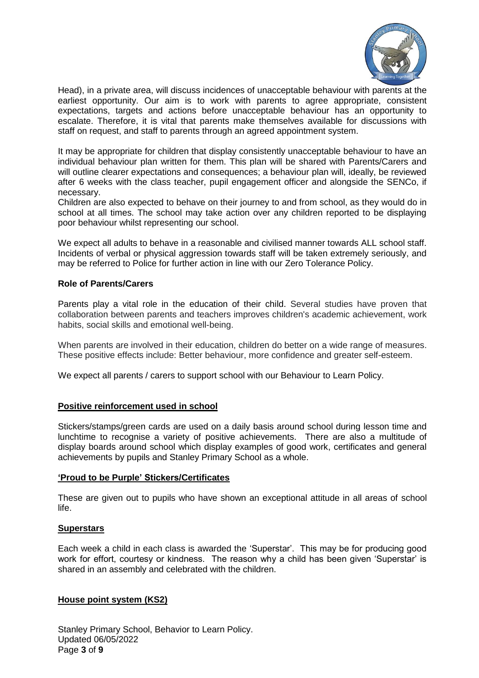

Head), in a private area, will discuss incidences of unacceptable behaviour with parents at the earliest opportunity. Our aim is to work with parents to agree appropriate, consistent expectations, targets and actions before unacceptable behaviour has an opportunity to escalate. Therefore, it is vital that parents make themselves available for discussions with staff on request, and staff to parents through an agreed appointment system.

It may be appropriate for children that display consistently unacceptable behaviour to have an individual behaviour plan written for them. This plan will be shared with Parents/Carers and will outline clearer expectations and consequences; a behaviour plan will, ideally, be reviewed after 6 weeks with the class teacher, pupil engagement officer and alongside the SENCo, if necessary.

Children are also expected to behave on their journey to and from school, as they would do in school at all times. The school may take action over any children reported to be displaying poor behaviour whilst representing our school.

We expect all adults to behave in a reasonable and civilised manner towards ALL school staff. Incidents of verbal or physical aggression towards staff will be taken extremely seriously, and may be referred to Police for further action in line with our Zero Tolerance Policy.

## **Role of Parents/Carers**

Parents play a vital role in the education of their child. Several studies have proven that collaboration between parents and teachers improves children's academic achievement, work habits, social skills and emotional well-being.

When parents are involved in their education, children do better on a wide range of measures. These positive effects include: Better behaviour, more confidence and greater self-esteem.

We expect all parents / carers to support school with our Behaviour to Learn Policy.

## **Positive reinforcement used in school**

Stickers/stamps/green cards are used on a daily basis around school during lesson time and lunchtime to recognise a variety of positive achievements. There are also a multitude of display boards around school which display examples of good work, certificates and general achievements by pupils and Stanley Primary School as a whole.

#### **'Proud to be Purple' Stickers/Certificates**

These are given out to pupils who have shown an exceptional attitude in all areas of school life.

#### **Superstars**

Each week a child in each class is awarded the 'Superstar'. This may be for producing good work for effort, courtesy or kindness. The reason why a child has been given 'Superstar' is shared in an assembly and celebrated with the children.

#### **House point system (KS2)**

Stanley Primary School, Behavior to Learn Policy. Updated 06/05/2022 Page **3** of **9**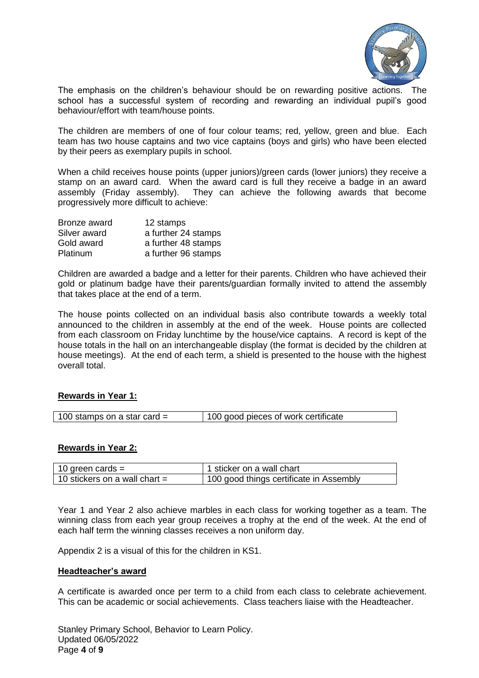

The emphasis on the children's behaviour should be on rewarding positive actions. The school has a successful system of recording and rewarding an individual pupil's good behaviour/effort with team/house points.

The children are members of one of four colour teams; red, yellow, green and blue. Each team has two house captains and two vice captains (boys and girls) who have been elected by their peers as exemplary pupils in school.

When a child receives house points (upper juniors)/green cards (lower juniors) they receive a stamp on an award card. When the award card is full they receive a badge in an award assembly (Friday assembly). They can achieve the following awards that become progressively more difficult to achieve:

| Bronze award | 12 stamps           |
|--------------|---------------------|
| Silver award | a further 24 stamps |
| Gold award   | a further 48 stamps |
| Platinum     | a further 96 stamps |

Children are awarded a badge and a letter for their parents. Children who have achieved their gold or platinum badge have their parents/guardian formally invited to attend the assembly that takes place at the end of a term.

The house points collected on an individual basis also contribute towards a weekly total announced to the children in assembly at the end of the week. House points are collected from each classroom on Friday lunchtime by the house/vice captains. A record is kept of the house totals in the hall on an interchangeable display (the format is decided by the children at house meetings). At the end of each term, a shield is presented to the house with the highest overall total.

## **Rewards in Year 1:**

| 100 stamps on a star card = | 100 good pieces of work certificate |
|-----------------------------|-------------------------------------|

#### **Rewards in Year 2:**

| 10 green cards $=$              | 1 sticker on a wall chart               |
|---------------------------------|-----------------------------------------|
| 10 stickers on a wall chart $=$ | 100 good things certificate in Assembly |

Year 1 and Year 2 also achieve marbles in each class for working together as a team. The winning class from each year group receives a trophy at the end of the week. At the end of each half term the winning classes receives a non uniform day.

Appendix 2 is a visual of this for the children in KS1.

#### **Headteacher's award**

A certificate is awarded once per term to a child from each class to celebrate achievement. This can be academic or social achievements. Class teachers liaise with the Headteacher.

Stanley Primary School, Behavior to Learn Policy. Updated 06/05/2022 Page **4** of **9**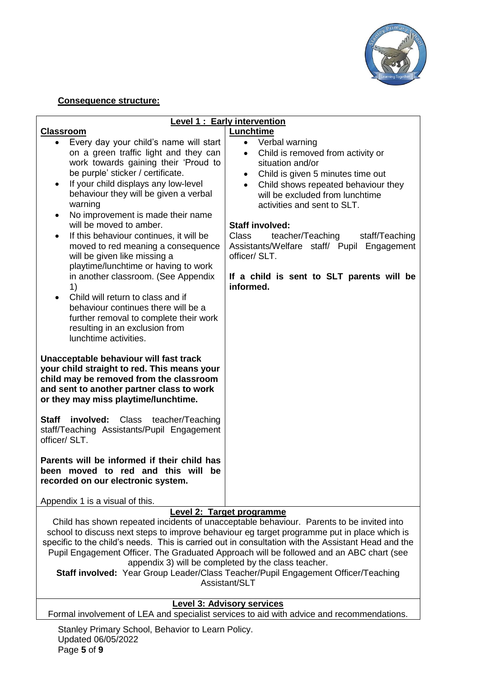

## **Consequence structure:**

| <b>Level 1: Early intervention</b>                                                                                                                                                                                                                                                                                                                                                                                                                                                                                                                                                                                                                                                                                                             |                                                                                                                                                                                                                                                                                                                                                                                                                                                                         |  |  |  |  |  |
|------------------------------------------------------------------------------------------------------------------------------------------------------------------------------------------------------------------------------------------------------------------------------------------------------------------------------------------------------------------------------------------------------------------------------------------------------------------------------------------------------------------------------------------------------------------------------------------------------------------------------------------------------------------------------------------------------------------------------------------------|-------------------------------------------------------------------------------------------------------------------------------------------------------------------------------------------------------------------------------------------------------------------------------------------------------------------------------------------------------------------------------------------------------------------------------------------------------------------------|--|--|--|--|--|
| <b>Classroom</b>                                                                                                                                                                                                                                                                                                                                                                                                                                                                                                                                                                                                                                                                                                                               | Lunchtime                                                                                                                                                                                                                                                                                                                                                                                                                                                               |  |  |  |  |  |
| Every day your child's name will start<br>$\bullet$<br>on a green traffic light and they can<br>work towards gaining their 'Proud to<br>be purple' sticker / certificate.<br>If your child displays any low-level<br>behaviour they will be given a verbal<br>warning<br>No improvement is made their name<br>$\bullet$<br>will be moved to amber.<br>If this behaviour continues, it will be<br>٠<br>moved to red meaning a consequence<br>will be given like missing a<br>playtime/lunchtime or having to work<br>in another classroom. (See Appendix<br>1)<br>Child will return to class and if<br>behaviour continues there will be a<br>further removal to complete their work<br>resulting in an exclusion from<br>lunchtime activities. | • Verbal warning<br>Child is removed from activity or<br>$\bullet$<br>situation and/or<br>Child is given 5 minutes time out<br>$\bullet$<br>Child shows repeated behaviour they<br>$\bullet$<br>will be excluded from lunchtime<br>activities and sent to SLT.<br><b>Staff involved:</b><br><b>Class</b><br>teacher/Teaching<br>staff/Teaching<br>Assistants/Welfare staff/ Pupil Engagement<br>officer/ SLT.<br>If a child is sent to SLT parents will be<br>informed. |  |  |  |  |  |
| Unacceptable behaviour will fast track<br>your child straight to red. This means your<br>child may be removed from the classroom<br>and sent to another partner class to work<br>or they may miss playtime/lunchtime.                                                                                                                                                                                                                                                                                                                                                                                                                                                                                                                          |                                                                                                                                                                                                                                                                                                                                                                                                                                                                         |  |  |  |  |  |
| <b>Staff involved:</b> Class teacher/Teaching<br>staff/Teaching Assistants/Pupil Engagement<br>officer/ SLT.                                                                                                                                                                                                                                                                                                                                                                                                                                                                                                                                                                                                                                   |                                                                                                                                                                                                                                                                                                                                                                                                                                                                         |  |  |  |  |  |
| Parents will be informed if their child has<br>been moved to red and this will be<br>recorded on our electronic system.                                                                                                                                                                                                                                                                                                                                                                                                                                                                                                                                                                                                                        |                                                                                                                                                                                                                                                                                                                                                                                                                                                                         |  |  |  |  |  |
| Appendix 1 is a visual of this.                                                                                                                                                                                                                                                                                                                                                                                                                                                                                                                                                                                                                                                                                                                |                                                                                                                                                                                                                                                                                                                                                                                                                                                                         |  |  |  |  |  |
|                                                                                                                                                                                                                                                                                                                                                                                                                                                                                                                                                                                                                                                                                                                                                | <b>Level 2: Target programme</b>                                                                                                                                                                                                                                                                                                                                                                                                                                        |  |  |  |  |  |
| Child has shown repeated incidents of unacceptable behaviour. Parents to be invited into<br>school to discuss next steps to improve behaviour eg target programme put in place which is<br>specific to the child's needs. This is carried out in consultation with the Assistant Head and the<br>Pupil Engagement Officer. The Graduated Approach will be followed and an ABC chart (see<br>appendix 3) will be completed by the class teacher.<br>Staff involved: Year Group Leader/Class Teacher/Pupil Engagement Officer/Teaching<br>Assistant/SLT                                                                                                                                                                                          |                                                                                                                                                                                                                                                                                                                                                                                                                                                                         |  |  |  |  |  |
| <b>Level 3: Advisory services</b><br>Formal involvement of LEA and specialist services to aid with advice and recommendations.                                                                                                                                                                                                                                                                                                                                                                                                                                                                                                                                                                                                                 |                                                                                                                                                                                                                                                                                                                                                                                                                                                                         |  |  |  |  |  |

Stanley Primary School, Behavior to Learn Policy. Updated 06/05/2022 Page **5** of **9**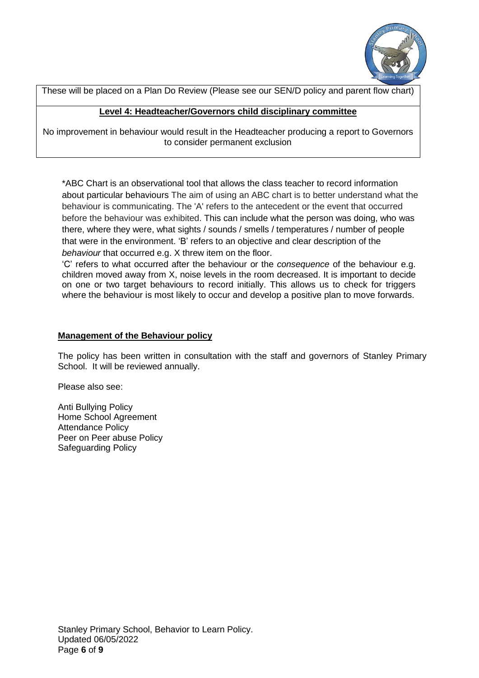

These will be placed on a Plan Do Review (Please see our SEN/D policy and parent flow chart)

## **Level 4: Headteacher/Governors child disciplinary committee**

No improvement in behaviour would result in the Headteacher producing a report to Governors to consider permanent exclusion

\*ABC Chart is an observational tool that allows the class teacher to record information about particular behaviours The aim of using an ABC chart is to better understand what the behaviour is communicating. The 'A' refers to the antecedent or the event that occurred before the behaviour was exhibited. This can include what the person was doing, who was there, where they were, what sights / sounds / smells / temperatures / number of people that were in the environment. 'B' refers to an objective and clear description of the *behaviour* that occurred e.g. X threw item on the floor.

'C' refers to what occurred after the behaviour or the *consequence* of the behaviour e.g. children moved away from X, noise levels in the room decreased. It is important to decide on one or two target behaviours to record initially. This allows us to check for triggers where the behaviour is most likely to occur and develop a positive plan to move forwards.

## **Management of the Behaviour policy**

The policy has been written in consultation with the staff and governors of Stanley Primary School. It will be reviewed annually.

Please also see:

Anti Bullying Policy Home School Agreement Attendance Policy Peer on Peer abuse Policy Safeguarding Policy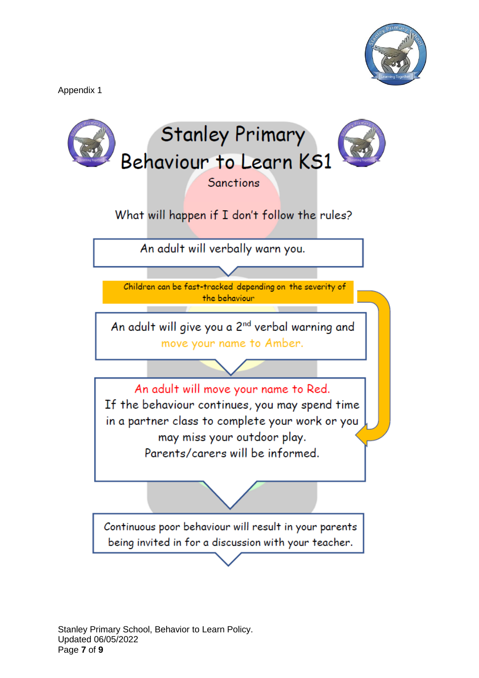Appendix 1



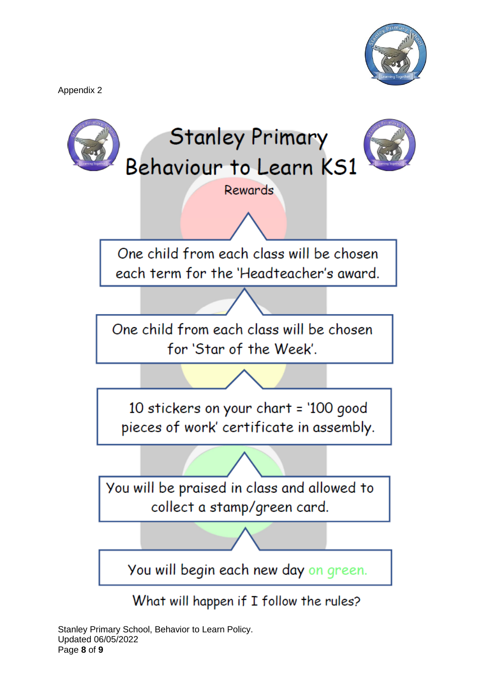Appendix 2